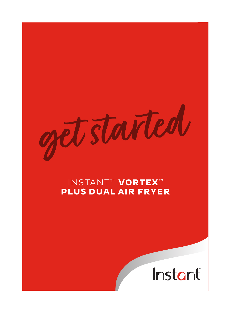started

# INSTANTTM **VORTEX™ PLUS DUAL AIR FRYER**

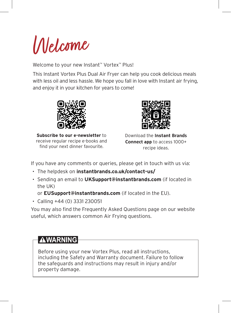

Welcome to your new Instant™ Vortex™ Plus!

This Instant Vortex Plus Dual Air Fryer can help you cook delicious meals with less oil and less hassle. We hope you fall in love with Instant air frying, and enjoy it in your kitchen for years to come!



**Subscribe to our e-newsletter** to receive regular recipe e-books and find your next dinner favourite.



Download the **Instant Brands Connect app** to access 1000+ recipe ideas.

If you have any comments or queries, please get in touch with us via:

- *•* The helpdesk on **instantbrands.co.uk/contact-us/**
- *•* Sending an email to **UKSupport@instantbrands.com** (if located in the UK)

or **EUSupport@instantbrands.com** (if located in the EU).

*•* Calling +44 (0) 3331 230051

You may also find the Frequently Asked Questions page on our website useful, which answers common Air Frying questions.

# **AWARNING**

Before using your new Vortex Plus, read all instructions, including the Safety and Warranty document. Failure to follow the safeguards and instructions may result in injury and/or property damage.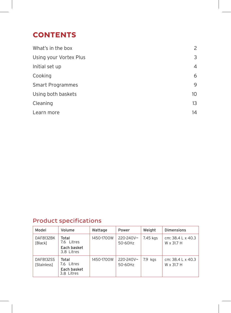# **CONTENTS**

| What's in the box      | 2               |
|------------------------|-----------------|
| Using your Vortex Plus | 3               |
| Initial set up         | 4               |
| Cooking                | 6               |
| Smart Programmes       | 9               |
| Using both baskets     | 10 <sup>°</sup> |
| Cleaning               | 13              |
| Learn more             | 14              |

# Product specifications

| Model                                 | Volume                                           | Wattage    | Power                | Weight    | <b>Dimensions</b>               |
|---------------------------------------|--------------------------------------------------|------------|----------------------|-----------|---------------------------------|
| DAF8132BK<br>[Black]                  | Total<br>7.6 Litres<br>Each basket<br>3.8 Litres | 1450-1700W | 220-240V~<br>50-60Hz | 7.45 kgs  | cm: 38.4 L x 40.3<br>W x 31.7 H |
| <b>DAF8132SS</b><br><b>Stainless1</b> | Total<br>7.6 Litres<br>Each basket<br>3.8 Litres | 1450-1700W | 220-240V~<br>50-60Hz | $7.9$ kgs | cm: 38.4 L x 40.3<br>W x 31.7 H |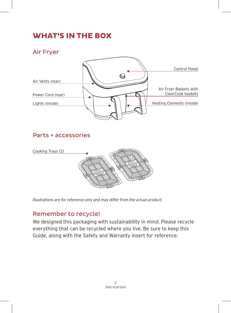# **WHAT'S IN THE BOX**

Air Fryer



# Parts + accessories



*Illustrations are for reference only and may differ from the actual product.*

## Remember to recycle!

We designed this packaging with sustainability in mind. Please recycle everything that can be recycled where you live. Be sure to keep this Guide, along with the Safety and Warranty insert for reference.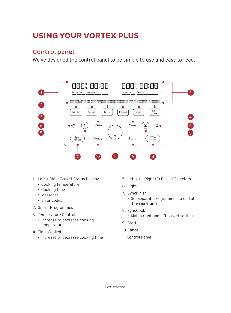# **USING YOUR VORTEX PLUS**

## Control panel

We've designed the control panel to be simple to use and easy to read.



- 1. Left + Right Basket Status Display
	- Cooking temperature
	- Cooking time
	- Messages
	- Error codes
- 2. Smart Programmes
- 3. Temperature Control
	- Increase or decrease cooking temperature
- 4. Time Control
	- Increase or decrease cooking time
- 5. Left (1) + Right (2) Basket Selectors
- 6. Light
- 7. SyncFinish
	- Set separate programmes to end at the same time
- 8. SyncCook
	- Match right and left basket settings
- 9. Start
- 10.Cancel
- 11. Control Panel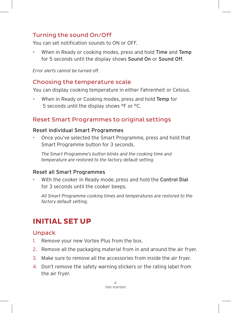## Turning the sound On/Off

You can set notification sounds to ON or OFF.

When in Ready or cooking modes, press and hold Time and Temp for 5 seconds until the display shows Sound On or Sound Off.

*Error alerts cannot be turned off.*

### Choosing the temperature scale

You can display cooking temperature in either Fahrenheit or Celsius.

When in Ready or Cooking modes, press and hold Temp for 5 seconds until the display shows °F or °C.

### Reset Smart Programmes to original settings

#### Reset individual Smart Programmes

• Once you've selected the Smart Programme, press and hold that Smart Programme button for 3 seconds.

*The Smart Programme's button blinks and the cooking time and temperature are restored to the factory default setting.*

#### Reset all Smart Programmes

With the cooker in Ready mode, press and hold the Control Dial for 3 seconds until the cooker beeps.

*All Smart Programme cooking times and temperatures are restored to the factory default setting.*

# **INITIAL SET UP**

## Unpack

- 1. Remove your new Vortex Plus from the box.
- 2. Remove all the packaging material from in and around the air fryer.
- 3. Make sure to remove all the accessories from inside the air fryer.
- 4. Don't remove the safety warning stickers or the rating label from the air fryer.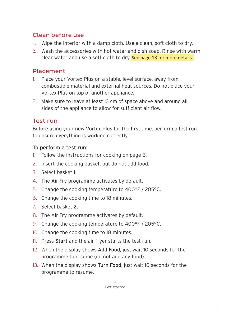## Clean before use

- 1. Wipe the interior with a damp cloth. Use a clean, soft cloth to dry.
- 2. Wash the accessories with hot water and dish soap. Rinse with warm, clear water and use a soft cloth to dry. See page 13 for more details.

## Placement

- 1. Place your Vortex Plus on a stable, level surface, away from combustible material and external heat sources. Do not place your Vortex Plus on top of another appliance.
- 2. Make sure to leave at least 13 cm of space above and around all sides of the appliance to allow for sufficient air flow.

### Test run

Before using your new Vortex Plus for the first time, perform a test run to ensure everything is working correctly.

### To perform a test run:

- 1. Follow the instructions for cooking on page 6.
- 2. Insert the cooking basket, but do not add food.
- 3. Select basket 1.
- 4. The Air Fry programme activates by default.
- 5. Change the cooking temperature to 400°F / 205°C.
- 6. Change the cooking time to 18 minutes.
- 7. Select basket 2.
- 8. The Air Fry programme activates by default.
- 9. Change the cooking temperature to 400°F / 205°C.
- 10. Change the cooking time to 18 minutes.
- 11. Press Start and the air fryer starts the test run.
- 12. When the display shows Add Food, just wait 10 seconds for the programme to resume (do not add any food).
- 13. When the display shows Turn Food, just wait 10 seconds for the programme to resume.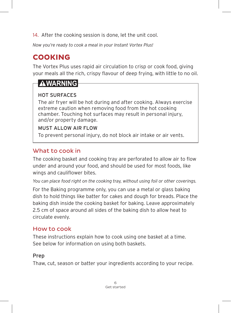14. After the cooking session is done, let the unit cool.

*Now you're ready to cook a meal in your Instant Vortex Plus!*

# **COOKING**

The Vortex Plus uses rapid air circulation to crisp or cook food, giving your meals all the rich, crispy flavour of deep frying, with little to no oil.

# **AWARNING**

### HOT SURFACES

The air fryer will be hot during and after cooking. Always exercise extreme caution when removing food from the hot cooking chamber. Touching hot surfaces may result in personal injury, and/or property damage.

#### MUST ALLOW AIR FLOW

To prevent personal injury, do not block air intake or air vents.

# What to cook in

The cooking basket and cooking tray are perforated to allow air to flow under and around your food, and should be used for most foods, like wings and cauliflower bites.

*You can place food right on the cooking tray, without using foil or other coverings.*

For the Baking programme only, you can use a metal or glass baking dish to hold things like batter for cakes and dough for breads. Place the baking dish inside the cooking basket for baking. Leave approximately 2.5 cm of space around all sides of the baking dish to allow heat to circulate evenly.

## How to cook

These instructions explain how to cook using one basket at a time. See below for information on using both baskets.

## Prep

Thaw, cut, season or batter your ingredients according to your recipe.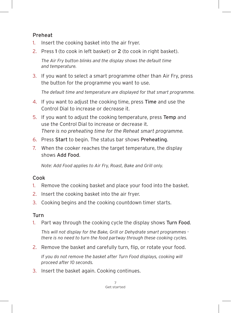#### Preheat

- 1. Insert the cooking basket into the air fryer.
- 2. Press 1 (to cook in left basket) or 2 (to cook in right basket).

*The Air Fry button blinks and the display shows the default time and temperature.*

3. If you want to select a smart programme other than Air Fry, press the button for the programme you want to use.

*The default time and temperature are displayed for that smart programme.*

- 4. If you want to adjust the cooking time, press Time and use the Control Dial to increase or decrease it.
- 5. If you want to adjust the cooking temperature, press Temp and use the Control Dial to increase or decrease it. *There is no preheating time for the Reheat smart programme.*
- 6. Press Start to begin. The status bar shows Preheating.
- 7. When the cooker reaches the target temperature, the display shows Add Food.

*Note: Add Food applies to Air Fry, Roast, Bake and Grill only.*

#### Cook

- 1. Remove the cooking basket and place your food into the basket.
- 2. Insert the cooking basket into the air fryer.
- 3. Cooking begins and the cooking countdown timer starts.

#### Turn

1. Part way through the cooking cycle the display shows Turn Food.

*This will not display for the Bake, Grill or Dehydrate smart programmes there is no need to turn the food partway through these cooking cycles.*

2. Remove the basket and carefully turn, flip, or rotate your food.

*If you do not remove the basket after Turn Food displays, cooking will proceed after 10 seconds.*

3. Insert the basket again. Cooking continues.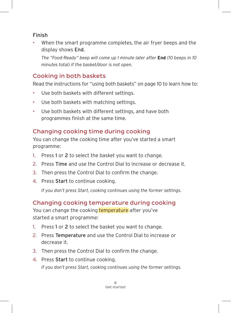#### Finish

When the smart programme completes, the air fryer beeps and the display shows End.

*The "Food-Ready" beep will come up 1 minute later after* **End** *(10 beeps in 10 minutes total) if the basket/door is not open.*

# Cooking in both baskets

Read the instructions for "using both baskets" on page 10 to learn how to:

- Use both baskets with different settings.
- Use both baskets with matching settings.
- Use both baskets with different settings, and have both programmes finish at the same time.

# Changing cooking time during cooking

You can change the cooking time after you've started a smart programme:

- 1. Press 1 or 2 to select the basket you want to change.
- 2. Press Time and use the Control Dial to increase or decrease it.
- 3. Then press the Control Dial to confirm the change.
- 4. Press Start to continue cooking.

*If you don't press Start, cooking continues using the former settings.*

# Changing cooking temperature during cooking

You can change the cooking temperature after you've started a smart programme:

- 1. Press 1 or 2 to select the basket you want to change.
- 2. Press Temperature and use the Control Dial to increase or decrease it.
- 3. Then press the Control Dial to confirm the change.
- 4. Press Start to continue cooking.

*If you don't press Start, cooking continues using the former settings.*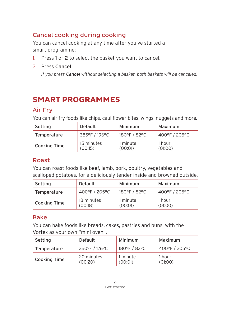# Cancel cooking during cooking

You can cancel cooking at any time after you've started a smart programme:

- 1. Press 1 or 2 to select the basket you want to cancel.
- 2. Press Cancel.

*If you press Cancel without selecting a basket, both baskets will be canceled.*

# **SMART PROGRAMMES**

### Air Fry

You can air fry foods like chips, cauliflower bites, wings, nuggets and more.

| Setting      | Default               | Minimum             | Maximum           |
|--------------|-----------------------|---------------------|-------------------|
| Temperature  | 385°F / 196°C         | 180°F / 82°C        | 400°F / 205°C     |
| Cooking Time | 15 minutes<br>(00:15) | 1 minute<br>(00:01) | 1 hour<br>(01:00) |

### Roast

You can roast foods like beef, lamb, pork, poultry, vegetables and scalloped potatoes, for a deliciously tender inside and browned outside.

| Setting             | Default               | Minimum             | Maximum           |
|---------------------|-----------------------|---------------------|-------------------|
| Temperature         | 400°F / 205°C         | 180°F / 82°C        | 400°F / 205°C     |
| <b>Cooking Time</b> | 18 minutes<br>(00:18) | 1 minute<br>(00:01) | 1 hour<br>(01:00) |

### Bake

You can bake foods like breads, cakes, pastries and buns, with the Vortex as your own "mini oven".

| Setting      | Default               | Minimum             | Maximum           |
|--------------|-----------------------|---------------------|-------------------|
| Temperature  | 350°F / 176°C         | 180°F / 82°C        | 400°F / 205°C     |
| Cooking Time | 20 minutes<br>(00:20) | 1 minute<br>(00:01) | 1 hour<br>(01:00) |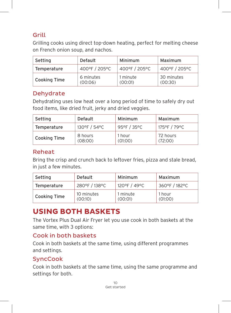## Grill

Grilling cooks using direct top-down heating, perfect for melting cheese on French onion soup, and nachos.

| Setting             | Default              | Minimum             | Maximum               |
|---------------------|----------------------|---------------------|-----------------------|
| Temperature         | 400°F / 205°C        | 400°F / 205°C       | 400°F / 205°C         |
| <b>Cooking Time</b> | 6 minutes<br>(00:06) | 1 minute<br>(00:01) | 30 minutes<br>(00:30) |

# Dehydrate

Dehydrating uses low heat over a long period of time to safely dry out food items, like dried fruit, jerky and dried veggies.

| Setting             | Default            | Minimum           | Maximum             |
|---------------------|--------------------|-------------------|---------------------|
| Temperature         | 130°F / 54°C       | 95°F / 35°C       | 175°F / 79°C        |
| <b>Cooking Time</b> | 8 hours<br>(08:00) | 1 hour<br>(01:00) | 72 hours<br>(72:00) |

#### Reheat

Bring the crisp and crunch back to leftover fries, pizza and stale bread, in just a few minutes.

| Setting      | Default               | Minimum             | Maximum           |
|--------------|-----------------------|---------------------|-------------------|
| Temperature  | 280°F / 138°C         | 120°F / 49°C        | 360°F / 182°C     |
| Cooking Time | 10 minutes<br>(00:10) | 1 minute<br>(00:01) | 1 hour<br>(01:00) |

# **USING BOTH BASKETS**

The Vortex Plus Dual Air Fryer let you use cook in both baskets at the same time, with 3 options:

### Cook in both baskets

Cook in both baskets at the same time, using different programmes and settings.

## **SyncCook**

Cook in both baskets at the same time, using the same programme and settings for both.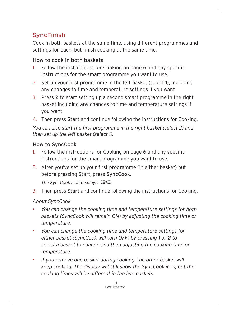# SyncFinish

Cook in both baskets at the same time, using different programmes and settings for each, but finish cooking at the same time.

#### How to cook in both baskets

- 1. Follow the instructions for Cooking on page 6 and any specific instructions for the smart programme you want to use.
- 2. Set up your first programme in the left basket (select 1), including any changes to time and temperature settings if you want.
- 3. Press 2 to start setting up a second smart programme in the right basket including any changes to time and temperature settings if you want.
- 4. Then press Start and continue following the instructions for Cooking.

*You can also start the first programme in the right basket (select 2) and then set up the left basket (select 1).*

#### How to SyncCook

- 1. Follow the instructions for Cooking on page 6 and any specific instructions for the smart programme you want to use.
- 2. After you've set up your first programme (in either basket) but before pressing Start, press SyncCook.

*The SyncCook icon displays.*

3. Then press Start and continue following the instructions for Cooking.

#### *About SyncCook*

- *You can change the cooking time and temperature settings for both baskets (SyncCook will remain ON) by adjusting the cooking time or temperature.*
- *You can change the cooking time and temperature settings for either basket (SyncCook will turn OFF) by pressing 1 or 2 to select a basket to change and then adjusting the cooking time or temperature.*
- *If you remove one basket during cooking, the other basket will keep cooking. The display will still show the SyncCook icon, but the cooking times will be different in the two baskets.*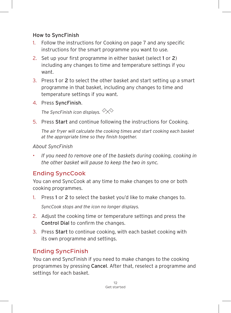#### How to SyncFinish

- 1. Follow the instructions for Cooking on page 7 and any specific instructions for the smart programme you want to use.
- 2. Set up your first programme in either basket (select 1 or 2) including any changes to time and temperature settings if you want.
- 3. Press 1 or 2 to select the other basket and start setting up a smart programme in that basket, including any changes to time and temperature settings if you want.
- 4. Press SyncFinish.

*The SyncFinish icon displays.*

5. Press Start and continue following the instructions for Cooking.

*The air fryer will calculate the cooking times and start cooking each basket at the appropriate time so they finish together.*

*About SyncFinish*

• *If you need to remove one of the baskets during cooking, cooking in the other basket will pause to keep the two in sync.*

# Ending SyncCook

You can end SyncCook at any time to make changes to one or both cooking programmes.

1. Press 1 or 2 to select the basket you'd like to make changes to.

*SyncCook stops and the icon no longer displays.*

- 2. Adjust the cooking time or temperature settings and press the Control Dial to confirm the changes.
- 3. Press Start to continue cooking, with each basket cooking with its own programme and settings.

# Ending SyncFinish

You can end SyncFinish if you need to make changes to the cooking programmes by pressing Cancel. After that, reselect a programme and settings for each basket.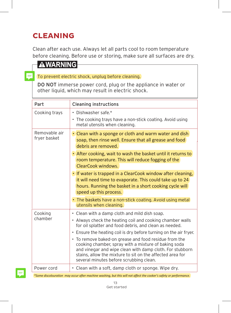# **CLEANING**

Clean after each use. Always let all parts cool to room temperature before cleaning. Before use or storing, make sure all surfaces are dry.

# **AWARNING**

To prevent electric shock, unplug before cleaning.

DO NOT immerse power cord, plug or the appliance in water or other liquid, which may result in electric shock.

| Part                          | <b>Cleaning instructions</b>                                                                                                                                                                                                                                                                                                                                                                                                                                                                                                   |
|-------------------------------|--------------------------------------------------------------------------------------------------------------------------------------------------------------------------------------------------------------------------------------------------------------------------------------------------------------------------------------------------------------------------------------------------------------------------------------------------------------------------------------------------------------------------------|
| Cooking trays                 | • Dishwasher safe.*<br>• The cooking trays have a non-stick coating. Avoid using<br>metal utensils when cleaning.                                                                                                                                                                                                                                                                                                                                                                                                              |
| Removable air<br>fryer basket | • Clean with a sponge or cloth and warm water and dish<br>soap, then rinse well. Ensure that all grease and food<br>debris are removed.                                                                                                                                                                                                                                                                                                                                                                                        |
|                               | • After cooking, wait to wash the basket until it returns to<br>room temperature. This will reduce fogging of the<br>ClearCook windows.                                                                                                                                                                                                                                                                                                                                                                                        |
|                               | • If water is trapped in a ClearCook window after cleaning,<br>it will need time to evaporate. This could take up to 24<br>hours. Running the basket in a short cooking cycle will<br>speed up this process.                                                                                                                                                                                                                                                                                                                   |
|                               | • The baskets have a non-stick coating. Avoid using metal<br>utensils when cleaning.                                                                                                                                                                                                                                                                                                                                                                                                                                           |
| Cooking<br>chamber            | • Clean with a damp cloth and mild dish soap.<br>• Always check the heating coil and cooking chamber walls<br>for oil splatter and food debris, and clean as needed.<br>• Ensure the heating coil is dry before turning on the air fryer.<br>• To remove baked-on grease and food residue from the<br>cooking chamber, spray with a mixture of baking soda<br>and vinegar and wipe clean with damp cloth. For stubborn<br>stains, allow the mixture to sit on the affected area for<br>several minutes before scrubbing clean. |
| Power cord                    | • Clean with a soft, damp cloth or sponge. Wipe dry.                                                                                                                                                                                                                                                                                                                                                                                                                                                                           |